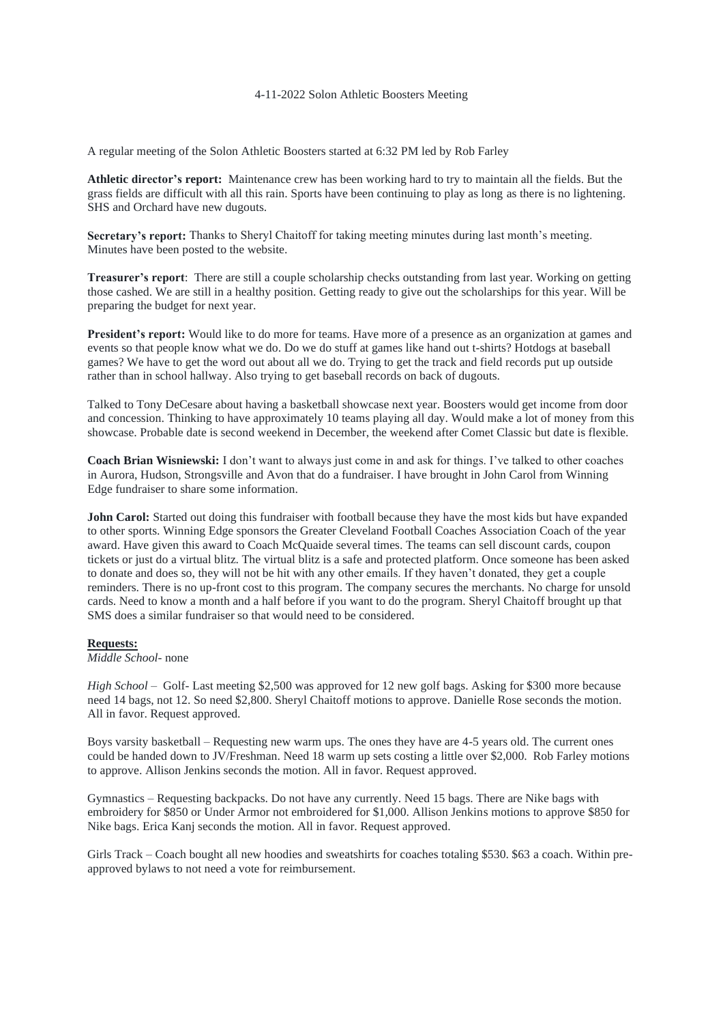## 4-11-2022 Solon Athletic Boosters Meeting

A regular meeting of the Solon Athletic Boosters started at 6:32 PM led by Rob Farley

**Athletic director's report:** Maintenance crew has been working hard to try to maintain all the fields. But the grass fields are difficult with all this rain. Sports have been continuing to play as long as there is no lightening. SHS and Orchard have new dugouts.

**Secretary's report:** Thanks to Sheryl Chaitoff for taking meeting minutes during last month's meeting. Minutes have been posted to the website.

**Treasurer's report**: There are still a couple scholarship checks outstanding from last year. Working on getting those cashed. We are still in a healthy position. Getting ready to give out the scholarships for this year. Will be preparing the budget for next year.

**President's report:** Would like to do more for teams. Have more of a presence as an organization at games and events so that people know what we do. Do we do stuff at games like hand out t-shirts? Hotdogs at baseball games? We have to get the word out about all we do. Trying to get the track and field records put up outside rather than in school hallway. Also trying to get baseball records on back of dugouts.

Talked to Tony DeCesare about having a basketball showcase next year. Boosters would get income from door and concession. Thinking to have approximately 10 teams playing all day. Would make a lot of money from this showcase. Probable date is second weekend in December, the weekend after Comet Classic but date is flexible.

**Coach Brian Wisniewski:** I don't want to always just come in and ask for things. I've talked to other coaches in Aurora, Hudson, Strongsville and Avon that do a fundraiser. I have brought in John Carol from Winning Edge fundraiser to share some information.

**John Carol:** Started out doing this fundraiser with football because they have the most kids but have expanded to other sports. Winning Edge sponsors the Greater Cleveland Football Coaches Association Coach of the year award. Have given this award to Coach McQuaide several times. The teams can sell discount cards, coupon tickets or just do a virtual blitz. The virtual blitz is a safe and protected platform. Once someone has been asked to donate and does so, they will not be hit with any other emails. If they haven't donated, they get a couple reminders. There is no up-front cost to this program. The company secures the merchants. No charge for unsold cards. Need to know a month and a half before if you want to do the program. Sheryl Chaitoff brought up that SMS does a similar fundraiser so that would need to be considered.

## **Requests:**

*Middle School*- none

*High School* – Golf- Last meeting \$2,500 was approved for 12 new golf bags. Asking for \$300 more because need 14 bags, not 12. So need \$2,800. Sheryl Chaitoff motions to approve. Danielle Rose seconds the motion. All in favor. Request approved.

Boys varsity basketball – Requesting new warm ups. The ones they have are 4-5 years old. The current ones could be handed down to JV/Freshman. Need 18 warm up sets costing a little over \$2,000. Rob Farley motions to approve. Allison Jenkins seconds the motion. All in favor. Request approved.

Gymnastics – Requesting backpacks. Do not have any currently. Need 15 bags. There are Nike bags with embroidery for \$850 or Under Armor not embroidered for \$1,000. Allison Jenkins motions to approve \$850 for Nike bags. Erica Kanj seconds the motion. All in favor. Request approved.

Girls Track – Coach bought all new hoodies and sweatshirts for coaches totaling \$530. \$63 a coach. Within preapproved bylaws to not need a vote for reimbursement.